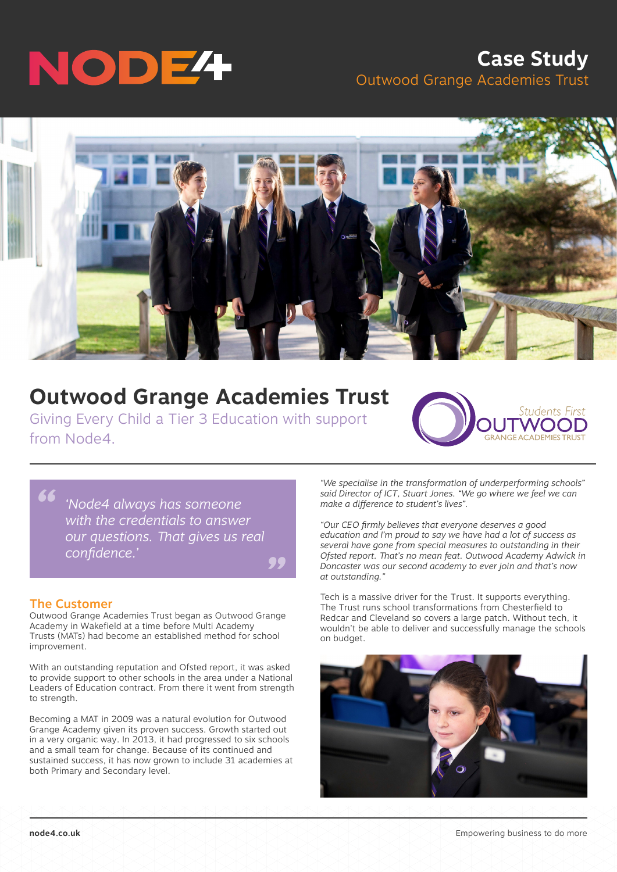

## **Case Study** Outwood Grange Academies Trust



# **Outwood Grange Academies Trust**

Giving Every Child a Tier 3 Education with support from Node4.

**Students First** 

*" 'Node4 always has someone with the credentials to answer our questions. That gives us real confidence.'*

#### The Customer

*"*

Outwood Grange Academies Trust began as Outwood Grange Academy in Wakefield at a time before Multi Academy Trusts (MATs) had become an established method for school improvement.

With an outstanding reputation and Ofsted report, it was asked to provide support to other schools in the area under a National Leaders of Education contract. From there it went from strength to strength.

Becoming a MAT in 2009 was a natural evolution for Outwood Grange Academy given its proven success. Growth started out in a very organic way. In 2013, it had progressed to six schools and a small team for change. Because of its continued and sustained success, it has now grown to include 31 academies at both Primary and Secondary level.

*"We specialise in the transformation of underperforming schools" said Director of ICT, Stuart Jones. "We go where we feel we can make a difference to student's lives".*

*"Our CEO firmly believes that everyone deserves a good education and I'm proud to say we have had a lot of success as several have gone from special measures to outstanding in their Ofsted report. That's no mean feat. Outwood Academy Adwick in Doncaster was our second academy to ever join and that's now at outstanding."*

Tech is a massive driver for the Trust. It supports everything. The Trust runs school transformations from Chesterfield to Redcar and Cleveland so covers a large patch. Without tech, it wouldn't be able to deliver and successfully manage the schools on budget.